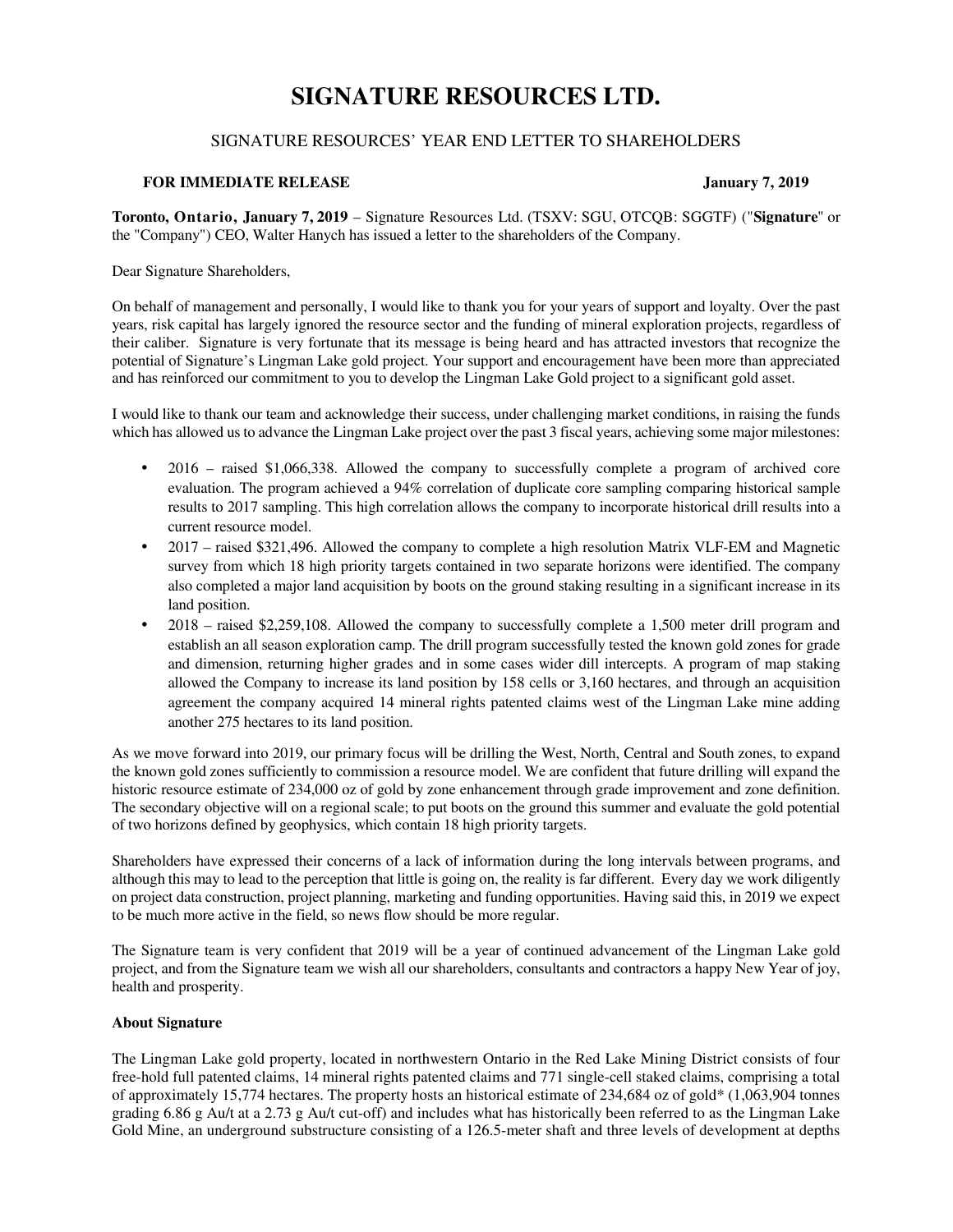# **SIGNATURE RESOURCES LTD.**

## SIGNATURE RESOURCES' YEAR END LETTER TO SHAREHOLDERS

### **FOR IMMEDIATE RELEASE January 7, 2019**

**Toronto, Ontario, January 7, 2019** – Signature Resources Ltd. (TSXV: SGU, OTCQB: SGGTF) ("**Signature**" or the "Company") CEO, Walter Hanych has issued a letter to the shareholders of the Company.

Dear Signature Shareholders,

On behalf of management and personally, I would like to thank you for your years of support and loyalty. Over the past years, risk capital has largely ignored the resource sector and the funding of mineral exploration projects, regardless of their caliber. Signature is very fortunate that its message is being heard and has attracted investors that recognize the potential of Signature's Lingman Lake gold project. Your support and encouragement have been more than appreciated and has reinforced our commitment to you to develop the Lingman Lake Gold project to a significant gold asset.

I would like to thank our team and acknowledge their success, under challenging market conditions, in raising the funds which has allowed us to advance the Lingman Lake project over the past 3 fiscal years, achieving some major milestones:

- 2016 raised \$1,066,338. Allowed the company to successfully complete a program of archived core evaluation. The program achieved a 94% correlation of duplicate core sampling comparing historical sample results to 2017 sampling. This high correlation allows the company to incorporate historical drill results into a current resource model.
- 2017 raised \$321,496. Allowed the company to complete a high resolution Matrix VLF-EM and Magnetic survey from which 18 high priority targets contained in two separate horizons were identified. The company also completed a major land acquisition by boots on the ground staking resulting in a significant increase in its land position.
- 2018 raised \$2,259,108. Allowed the company to successfully complete a 1,500 meter drill program and establish an all season exploration camp. The drill program successfully tested the known gold zones for grade and dimension, returning higher grades and in some cases wider dill intercepts. A program of map staking allowed the Company to increase its land position by 158 cells or 3,160 hectares, and through an acquisition agreement the company acquired 14 mineral rights patented claims west of the Lingman Lake mine adding another 275 hectares to its land position.

As we move forward into 2019, our primary focus will be drilling the West, North, Central and South zones, to expand the known gold zones sufficiently to commission a resource model. We are confident that future drilling will expand the historic resource estimate of 234,000 oz of gold by zone enhancement through grade improvement and zone definition. The secondary objective will on a regional scale; to put boots on the ground this summer and evaluate the gold potential of two horizons defined by geophysics, which contain 18 high priority targets.

Shareholders have expressed their concerns of a lack of information during the long intervals between programs, and although this may to lead to the perception that little is going on, the reality is far different. Every day we work diligently on project data construction, project planning, marketing and funding opportunities. Having said this, in 2019 we expect to be much more active in the field, so news flow should be more regular.

The Signature team is very confident that 2019 will be a year of continued advancement of the Lingman Lake gold project, and from the Signature team we wish all our shareholders, consultants and contractors a happy New Year of joy, health and prosperity.

### **About Signature**

The Lingman Lake gold property, located in northwestern Ontario in the Red Lake Mining District consists of four free-hold full patented claims, 14 mineral rights patented claims and 771 single-cell staked claims, comprising a total of approximately 15,774 hectares. The property hosts an historical estimate of 234,684 oz of gold\* (1,063,904 tonnes grading 6.86 g Au/t at a 2.73 g Au/t cut-off) and includes what has historically been referred to as the Lingman Lake Gold Mine, an underground substructure consisting of a 126.5-meter shaft and three levels of development at depths